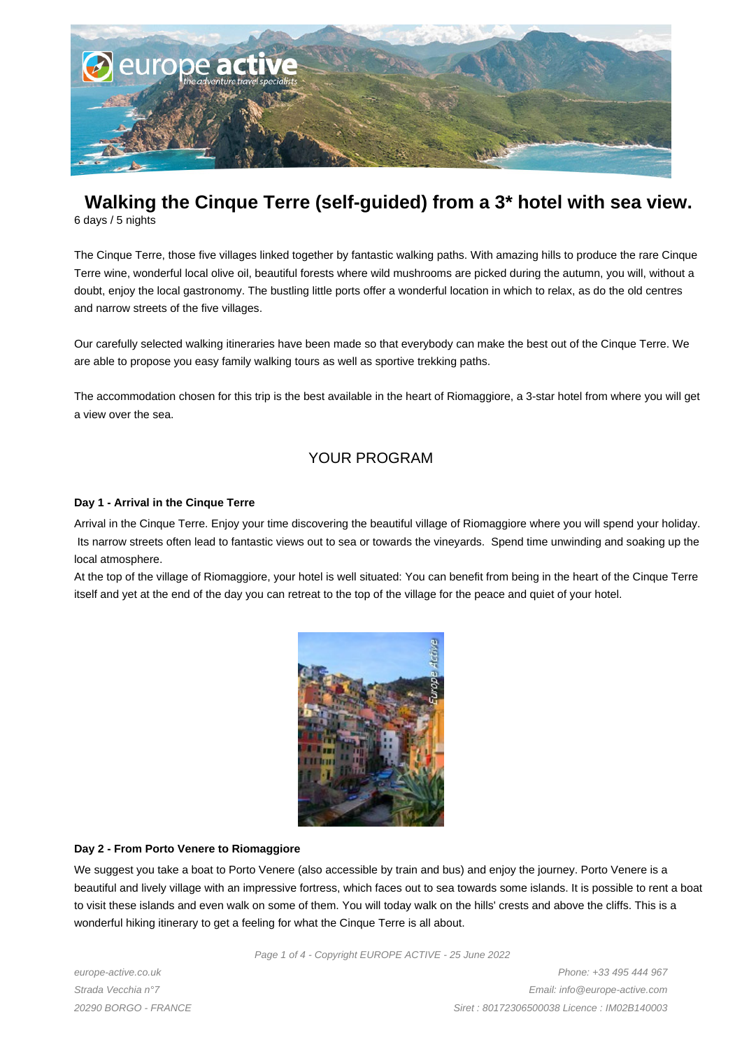

# **Walking the Cinque Terre (self-guided) from a 3\* hotel with sea view.**

6 days / 5 nights

The Cinque Terre, those five villages linked together by fantastic walking paths. With amazing hills to produce the rare Cinque Terre wine, wonderful local olive oil, beautiful forests where wild mushrooms are picked during the autumn, you will, without a doubt, enjoy the local gastronomy. The bustling little ports offer a wonderful location in which to relax, as do the old centres and narrow streets of the five villages.

Our carefully selected walking itineraries have been made so that everybody can make the best out of the Cinque Terre. We are able to propose you easy family walking tours as well as sportive trekking paths.

The accommodation chosen for this trip is the best available in the heart of Riomaggiore, a 3-star hotel from where you will get a view over the sea.

# YOUR PROGRAM

#### **Day 1 - Arrival in the Cinque Terre**

Arrival in the Cinque Terre. Enjoy your time discovering the beautiful village of Riomaggiore where you will spend your holiday. Its narrow streets often lead to fantastic views out to sea or towards the vineyards. Spend time unwinding and soaking up the local atmosphere.

At the top of the village of Riomaggiore, your hotel is well situated: You can benefit from being in the heart of the Cinque Terre itself and yet at the end of the day you can retreat to the top of the village for the peace and quiet of your hotel.



# **Day 2 - From Porto Venere to Riomaggiore**

We suggest you take a boat to Porto Venere (also accessible by train and bus) and enjoy the journey. Porto Venere is a beautiful and lively village with an impressive fortress, which faces out to sea towards some islands. It is possible to rent a boat to visit these islands and even walk on some of them. You will today walk on the hills' crests and above the cliffs. This is a wonderful hiking itinerary to get a feeling for what the Cinque Terre is all about.

Page 1 of 4 - Copyright EUROPE ACTIVE - 25 June 2022

europe-active.co.uk Strada Vecchia n°7 20290 BORGO - FRANCE

Phone: +33 495 444 967 Email: info@europe-active.com Siret : 80172306500038 Licence : IM02B140003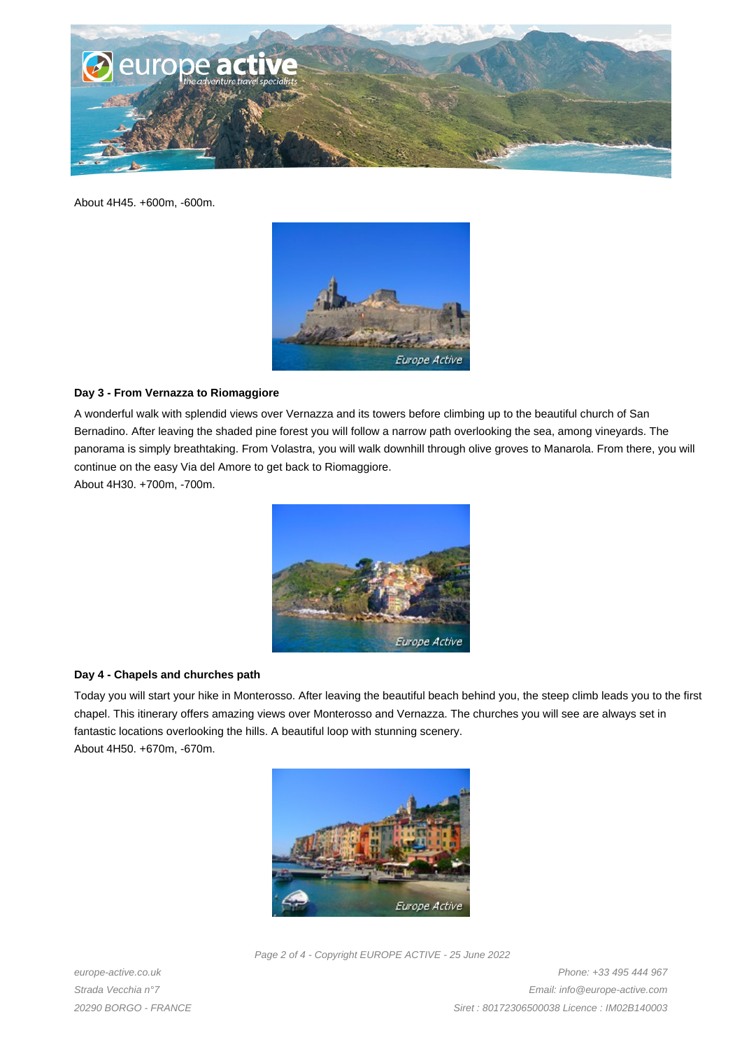

About 4H45. +600m, -600m.



# **Day 3 - From Vernazza to Riomaggiore**

A wonderful walk with splendid views over Vernazza and its towers before climbing up to the beautiful church of San Bernadino. After leaving the shaded pine forest you will follow a narrow path overlooking the sea, among vineyards. The panorama is simply breathtaking. From Volastra, you will walk downhill through olive groves to Manarola. From there, you will continue on the easy Via del Amore to get back to Riomaggiore.

About 4H30. +700m, -700m.



### **Day 4 - Chapels and churches path**

Today you will start your hike in Monterosso. After leaving the beautiful beach behind you, the steep climb leads you to the first chapel. This itinerary offers amazing views over Monterosso and Vernazza. The churches you will see are always set in fantastic locations overlooking the hills. A beautiful loop with stunning scenery. About 4H50. +670m, -670m.



Page 2 of 4 - Copyright EUROPE ACTIVE - 25 June 2022

europe-active.co.uk Strada Vecchia n°7 20290 BORGO - FRANCE

Phone: +33 495 444 967 Email: info@europe-active.com Siret : 80172306500038 Licence : IM02B140003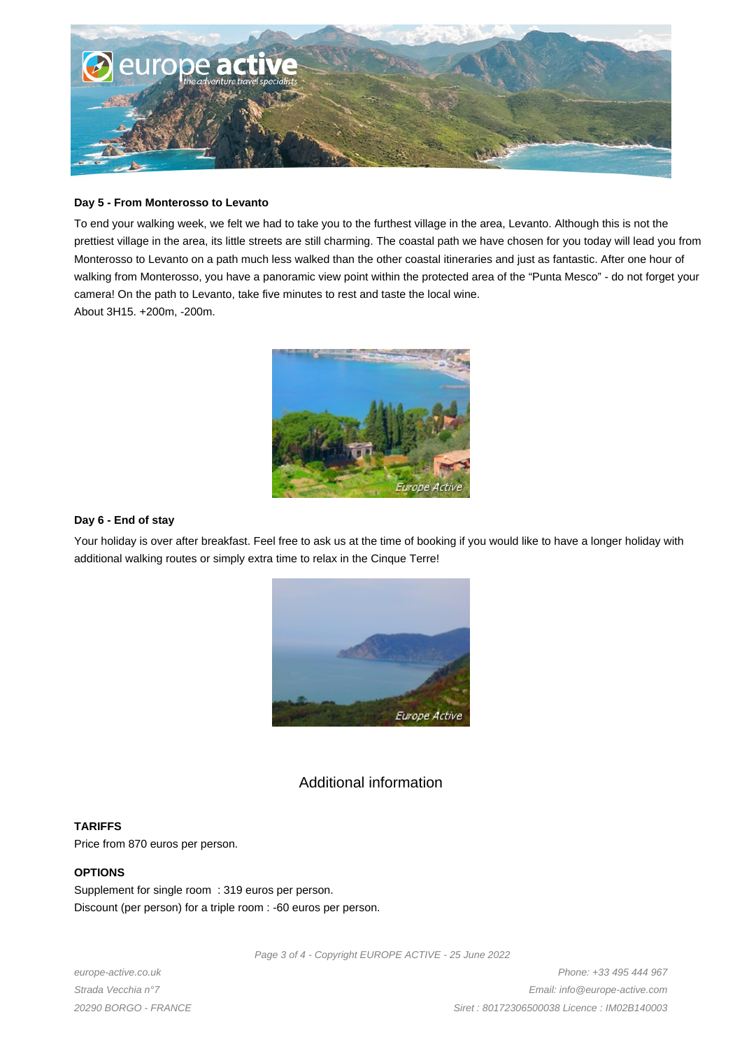

#### **Day 5 - From Monterosso to Levanto**

To end your walking week, we felt we had to take you to the furthest village in the area, Levanto. Although this is not the prettiest village in the area, its little streets are still charming. The coastal path we have chosen for you today will lead you from Monterosso to Levanto on a path much less walked than the other coastal itineraries and just as fantastic. After one hour of walking from Monterosso, you have a panoramic view point within the protected area of the "Punta Mesco" - do not forget your camera! On the path to Levanto, take five minutes to rest and taste the local wine. About 3H15. +200m, -200m.



## **Day 6 - End of stay**

Your holiday is over after breakfast. Feel free to ask us at the time of booking if you would like to have a longer holiday with additional walking routes or simply extra time to relax in the Cinque Terre!



# Additional information

# **TARIFFS**

Price from 870 euros per person.

# **OPTIONS**

Supplement for single room : 319 euros per person. Discount (per person) for a triple room : -60 euros per person.

Page 3 of 4 - Copyright EUROPE ACTIVE - 25 June 2022

europe-active.co.uk Strada Vecchia n°7 20290 BORGO - FRANCE

Phone: +33 495 444 967 Email: info@europe-active.com Siret : 80172306500038 Licence : IM02B140003